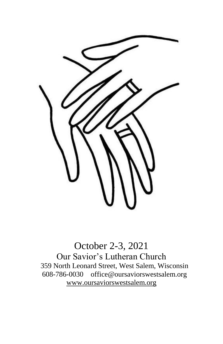

October 2-3, 2021 Our Savior's Lutheran Church 359 North Leonard Street, West Salem, Wisconsin 608-786-0030 office@oursaviorswestsalem.org [www.oursaviorswestsalem.org](http://www.oursaviorswestsalem.org/)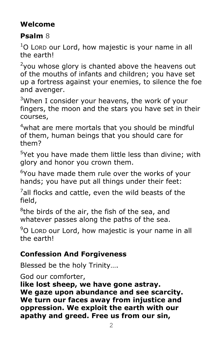# **Welcome**

# **Psalm** 8

 $1$ O Lord our Lord, how majestic is your name in all the earth!

 $2$ you whose glory is chanted above the heavens out of the mouths of infants and children; you have set up a fortress against your enemies, to silence the foe and avenger.

 $3$ When I consider your heavens, the work of your fingers, the moon and the stars you have set in their courses,

<sup>4</sup>what are mere mortals that you should be mindful of them, human beings that you should care for them?

<sup>5</sup>Yet you have made them little less than divine; with glory and honor you crown them.

 $6$ You have made them rule over the works of your hands; you have put all things under their feet:

 $\mathrm{^{7}}$ all flocks and cattle, even the wild beasts of the field,

<sup>8</sup>the birds of the air, the fish of the sea, and whatever passes along the paths of the sea.

 $90$  LORD our Lord, how majestic is your name in all the earth!

# **Confession And Forgiveness**

Blessed be the holy Trinity….

God our comforter,

**like lost sheep, we have gone astray. We gaze upon abundance and see scarcity. We turn our faces away from injustice and oppression. We exploit the earth with our apathy and greed. Free us from our sin,**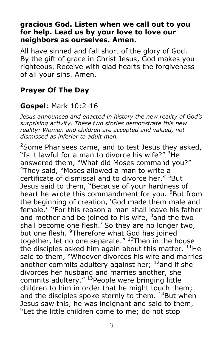#### **gracious God. Listen when we call out to you for help. Lead us by your love to love our neighbors as ourselves. Amen.**

All have sinned and fall short of the glory of God. By the gift of grace in Christ Jesus, God makes you righteous. Receive with glad hearts the forgiveness of all your sins. Amen.

## **Prayer Of The Day**

# **Gospel**: Mark 10:2-16

*Jesus announced and enacted in history the new reality of God's surprising activity. These two stories demonstrate this new reality: Women and children are accepted and valued, not dismissed as inferior to adult men.*

<sup>2</sup>Some Pharisees came, and to test Jesus they asked, "Is it lawful for a man to divorce his wife?" <sup>3</sup>He answered them, "What did Moses command you?" <sup>4</sup>They said, "Moses allowed a man to write a certificate of dismissal and to divorce her." <sup>5</sup>But Jesus said to them, "Because of your hardness of heart he wrote this commandment for you. <sup>6</sup>But from the beginning of creation, 'God made them male and female.' <sup>7</sup>'For this reason a man shall leave his father and mother and be joined to his wife,  $8$  and the two shall become one flesh.' So they are no longer two, but one flesh. <sup>9</sup>Therefore what God has joined together, let no one separate."  $10$ Then in the house the disciples asked him again about this matter.  $^{11}$ He said to them, "Whoever divorces his wife and marries another commits adultery against her;  $^{12}$ and if she divorces her husband and marries another, she commits adultery." <sup>13</sup> People were bringing little children to him in order that he might touch them; and the disciples spoke sternly to them.  $^{14}$ But when Jesus saw this, he was indignant and said to them, "Let the little children come to me; do not stop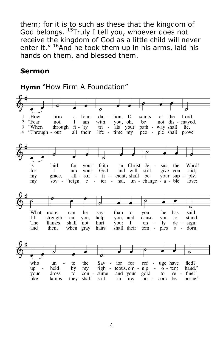them; for it is to such as these that the kingdom of God belongs. <sup>15</sup>Truly I tell you, whoever does not receive the kingdom of God as a little child will never enter it."  $16$ And he took them up in his arms, laid his hands on them, and blessed them.

#### **Sermon**

**Hymn** "How Firm A Foundation"

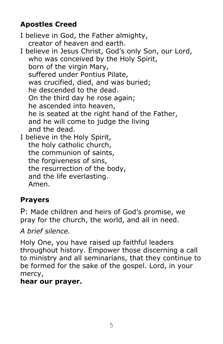# **Apostles Creed**

I believe in God, the Father almighty, creator of heaven and earth. I believe in Jesus Christ, God's only Son, our Lord, who was conceived by the Holy Spirit, born of the virgin Mary, suffered under Pontius Pilate, was crucified, died, and was buried; he descended to the dead. On the third day he rose again; he ascended into heaven, he is seated at the right hand of the Father, and he will come to judge the living and the dead. I believe in the Holy Spirit, the holy catholic church, the communion of saints, the forgiveness of sins, the resurrection of the body, and the life everlasting.

Amen.

# **Prayers**

P: Made children and heirs of God's promise, we pray for the church, the world, and all in need.

*A brief silence.*

Holy One, you have raised up faithful leaders throughout history. Empower those discerning a call to ministry and all seminarians, that they continue to be formed for the sake of the gospel. Lord, in your mercy,

# **hear our prayer.**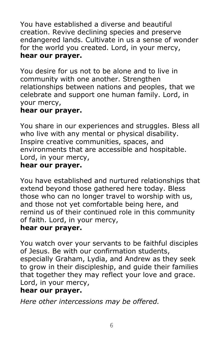You have established a diverse and beautiful creation. Revive declining species and preserve endangered lands. Cultivate in us a sense of wonder for the world you created. Lord, in your mercy, **hear our prayer.**

You desire for us not to be alone and to live in community with one another. Strengthen relationships between nations and peoples, that we celebrate and support one human family. Lord, in your mercy,

#### **hear our prayer.**

You share in our experiences and struggles. Bless all who live with any mental or physical disability. Inspire creative communities, spaces, and environments that are accessible and hospitable. Lord, in your mercy,

# **hear our prayer.**

You have established and nurtured relationships that extend beyond those gathered here today. Bless those who can no longer travel to worship with us, and those not yet comfortable being here, and remind us of their continued role in this community of faith. Lord, in your mercy,

### **hear our prayer.**

You watch over your servants to be faithful disciples of Jesus. Be with our confirmation students, especially Graham, Lydia, and Andrew as they seek to grow in their discipleship, and guide their families that together they may reflect your love and grace. Lord, in your mercy,

### **hear our prayer.**

*Here other intercessions may be offered.*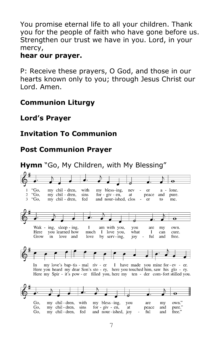You promise eternal life to all your children. Thank you for the people of faith who have gone before us. Strengthen our trust we have in you. Lord, in your mercy,

#### **hear our prayer.**

P: Receive these prayers, O God, and those in our hearts known only to you; through Jesus Christ our Lord. Amen.

### **Communion Liturgy**

## **Lord's Prayer**

# **Invitation To Communion**

# **Post Communion Prayer**

#### **Hymn** "Go, My Children, with My Blessing""Go, my chil - dren, with my bless-ing. nev er  $a$ lone.  $"Go,$ <sup>2</sup> my chil - dren, sins for  $-$  giv  $-$  en, at peace and pure. "Go,  $\overline{a}$ my chil - dren, fed and nour-ished, clos er  $f<sub>O</sub>$ me.  $\overline{\mathbf{o}}$ Wak - ing, sleep - ing,  $\mathbf{I}$ am with you, you my own. are you learned how Here much I love you, what  $\mathbf{I}$ can cure. Grow in. love and love by serv-ing, joy ful and free. In my love's bap-tis - mal riv - er I have made you mine for - ev - er. Here you heard my dear Son's sto - ry, here you touched him, saw his glo - ry. Here my Spir - it's pow - er filled you, here my ten - der com-fort stilled you. my bless-ing, Go, my chil-dren, with you are my own." Go, my chil-dren, sins for  $-$  giv  $-$  en, at peace and pure.  $free.$ " Go. my chil-dren. fed and nour-ished, joy ful and